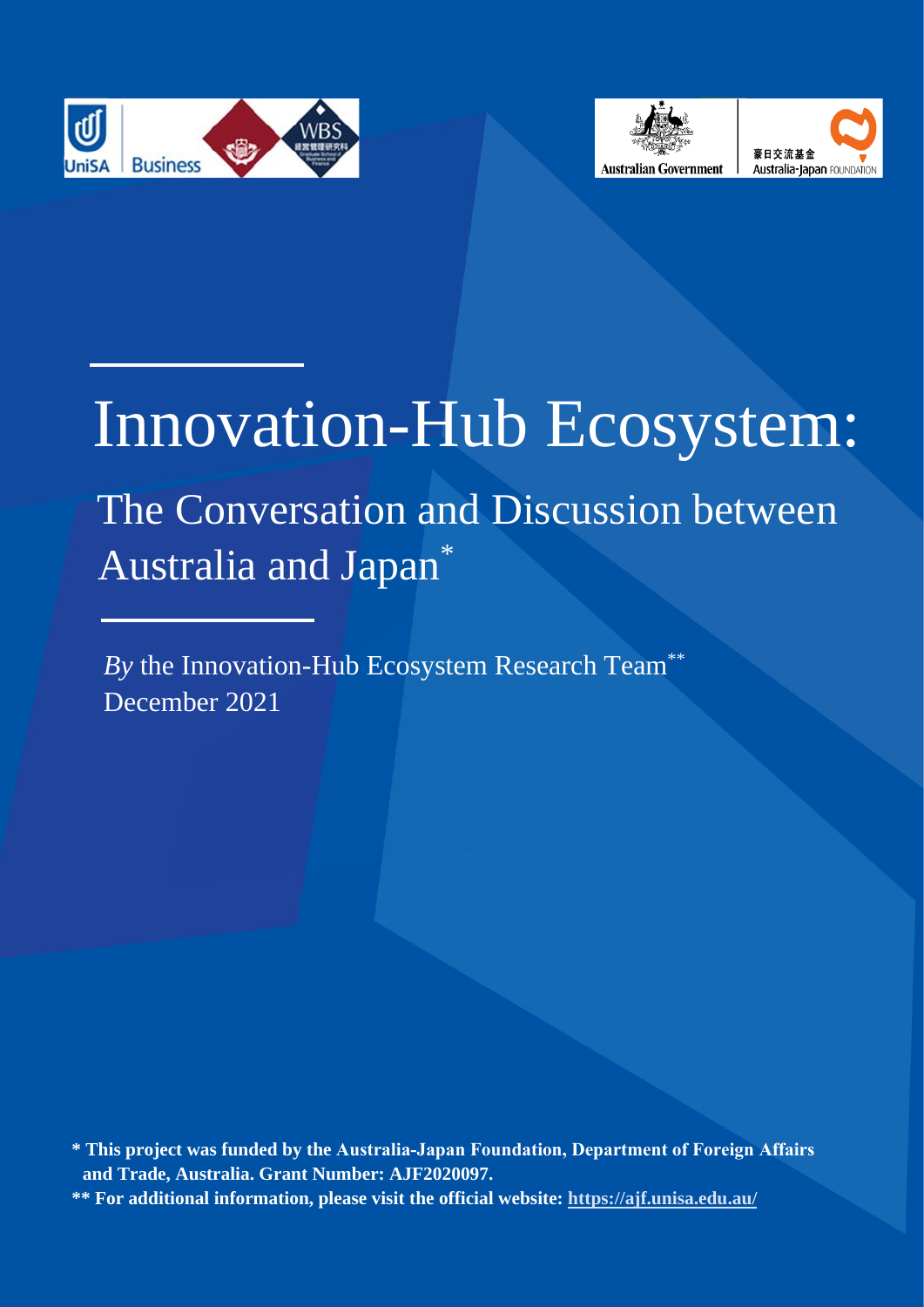





# Innovation-Hub Ecosystem:

# The Conversation and Discussion between Australia and Japan\*

*By* the Innovation-Hub Ecosystem Research Team\*\* December 2021

**<sup>\*</sup> This project was funded by the Australia‐Japan Foundation, Department of Foreign Affairs and Trade, Australia. Grant Number: AJF2020097. \*\* For additional information, please visit the official website:<https://ajf.unisa.edu.au/>**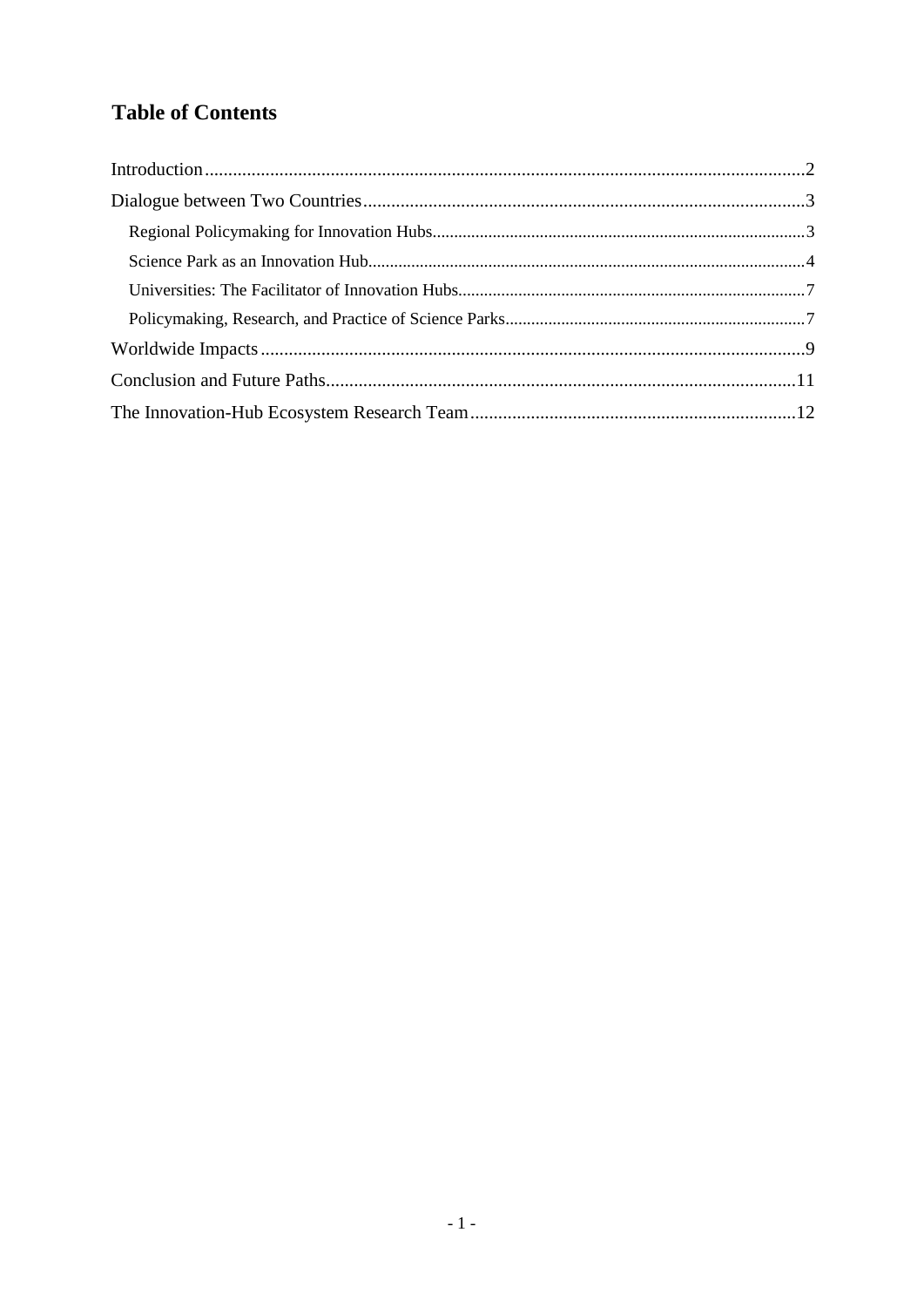# **Table of Contents**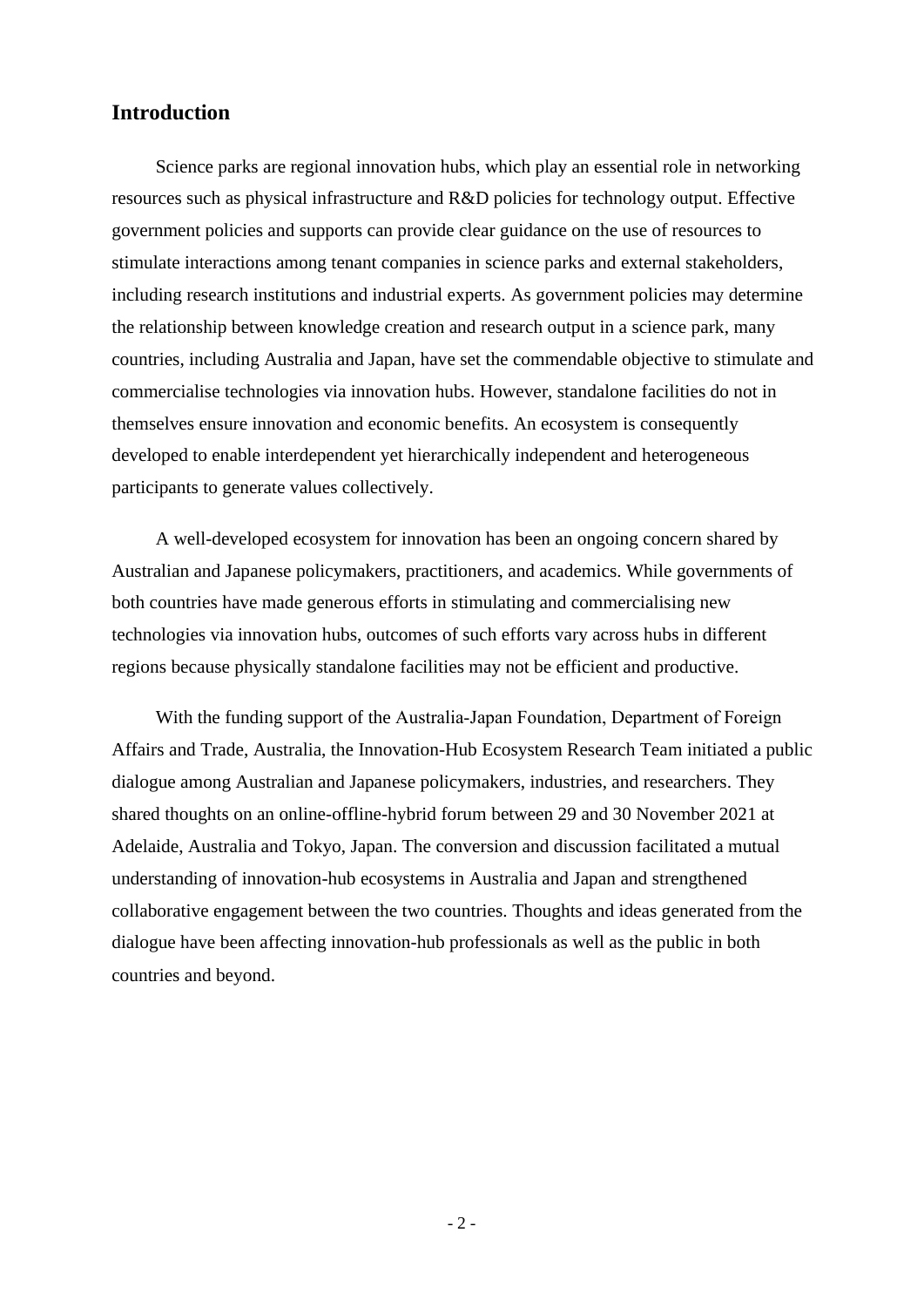# <span id="page-2-0"></span>**Introduction**

Science parks are regional innovation hubs, which play an essential role in networking resources such as physical infrastructure and R&D policies for technology output. Effective government policies and supports can provide clear guidance on the use of resources to stimulate interactions among tenant companies in science parks and external stakeholders, including research institutions and industrial experts. As government policies may determine the relationship between knowledge creation and research output in a science park, many countries, including Australia and Japan, have set the commendable objective to stimulate and commercialise technologies via innovation hubs. However, standalone facilities do not in themselves ensure innovation and economic benefits. An ecosystem is consequently developed to enable interdependent yet hierarchically independent and heterogeneous participants to generate values collectively.

A well-developed ecosystem for innovation has been an ongoing concern shared by Australian and Japanese policymakers, practitioners, and academics. While governments of both countries have made generous efforts in stimulating and commercialising new technologies via innovation hubs, outcomes of such efforts vary across hubs in different regions because physically standalone facilities may not be efficient and productive.

With the funding support of the Australia‐Japan Foundation, Department of Foreign Affairs and Trade, Australia, the Innovation-Hub Ecosystem Research Team initiated a public dialogue among Australian and Japanese policymakers, industries, and researchers. They shared thoughts on an online-offline-hybrid forum between 29 and 30 November 2021 at Adelaide, Australia and Tokyo, Japan. The conversion and discussion facilitated a mutual understanding of innovation-hub ecosystems in Australia and Japan and strengthened collaborative engagement between the two countries. Thoughts and ideas generated from the dialogue have been affecting innovation-hub professionals as well as the public in both countries and beyond.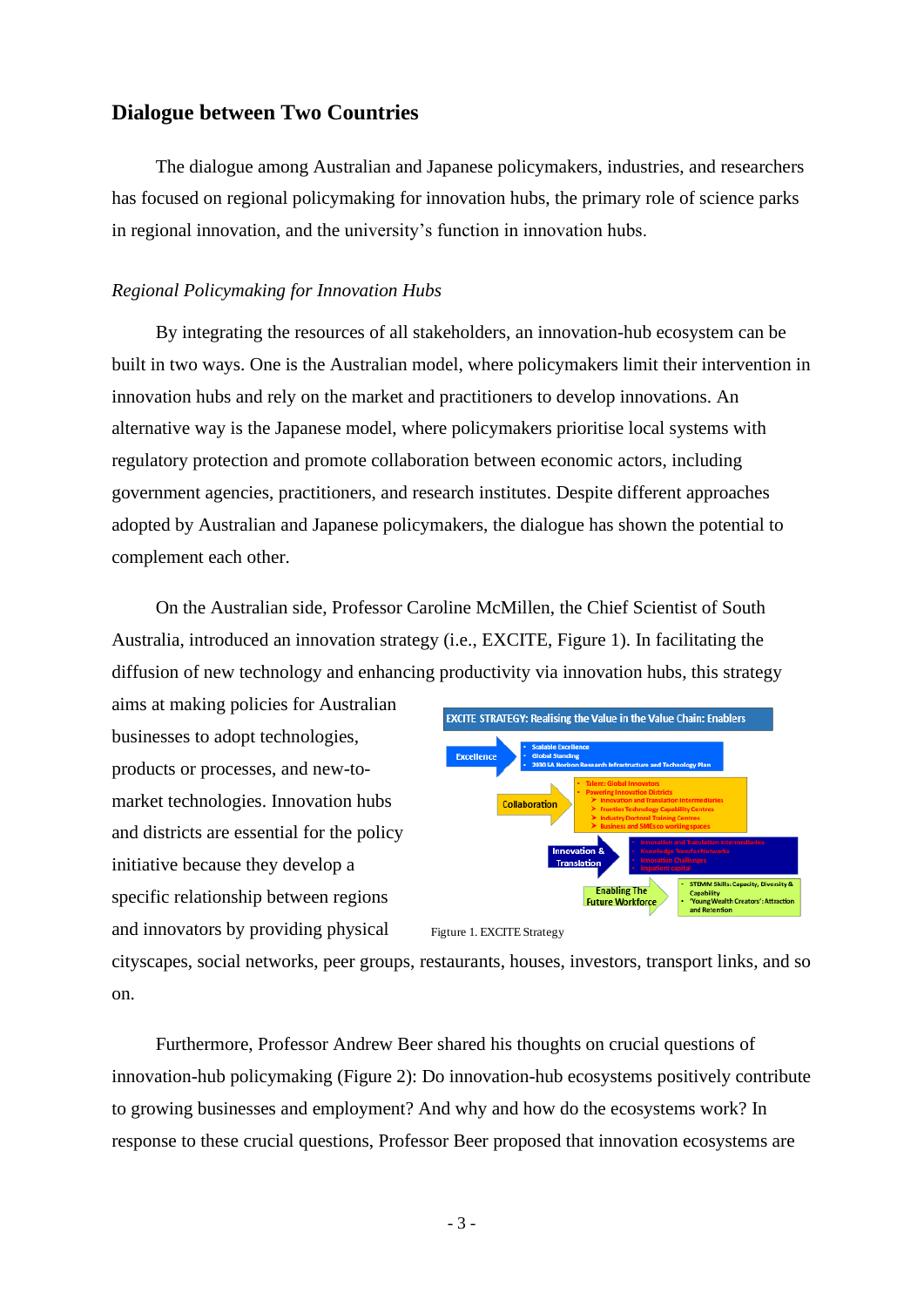#### <span id="page-3-0"></span>**Dialogue between Two Countries**

The dialogue among Australian and Japanese policymakers, industries, and researchers has focused on regional policymaking for innovation hubs, the primary role of science parks in regional innovation, and the university's function in innovation hubs.

#### <span id="page-3-1"></span>*Regional Policymaking for Innovation Hubs*

By integrating the resources of all stakeholders, an innovation-hub ecosystem can be built in two ways. One is the Australian model, where policymakers limit their intervention in innovation hubs and rely on the market and practitioners to develop innovations. An alternative way is the Japanese model, where policymakers prioritise local systems with regulatory protection and promote collaboration between economic actors, including government agencies, practitioners, and research institutes. Despite different approaches adopted by Australian and Japanese policymakers, the dialogue has shown the potential to complement each other.

On the Australian side, Professor Caroline McMillen, the Chief Scientist of South Australia, introduced an innovation strategy (i.e., EXCITE, Figure 1). In facilitating the diffusion of new technology and enhancing productivity via innovation hubs, this strategy

aims at making policies for Australian businesses to adopt technologies, products or processes, and new-tomarket technologies. Innovation hubs and districts are essential for the policy initiative because they develop a specific relationship between regions and innovators by providing physical



Figture 1. EXCITE Strategy

cityscapes, social networks, peer groups, restaurants, houses, investors, transport links, and so on.

Furthermore, Professor Andrew Beer shared his thoughts on crucial questions of innovation-hub policymaking (Figure 2): Do innovation-hub ecosystems positively contribute to growing businesses and employment? And why and how do the ecosystems work? In response to these crucial questions, Professor Beer proposed that innovation ecosystems are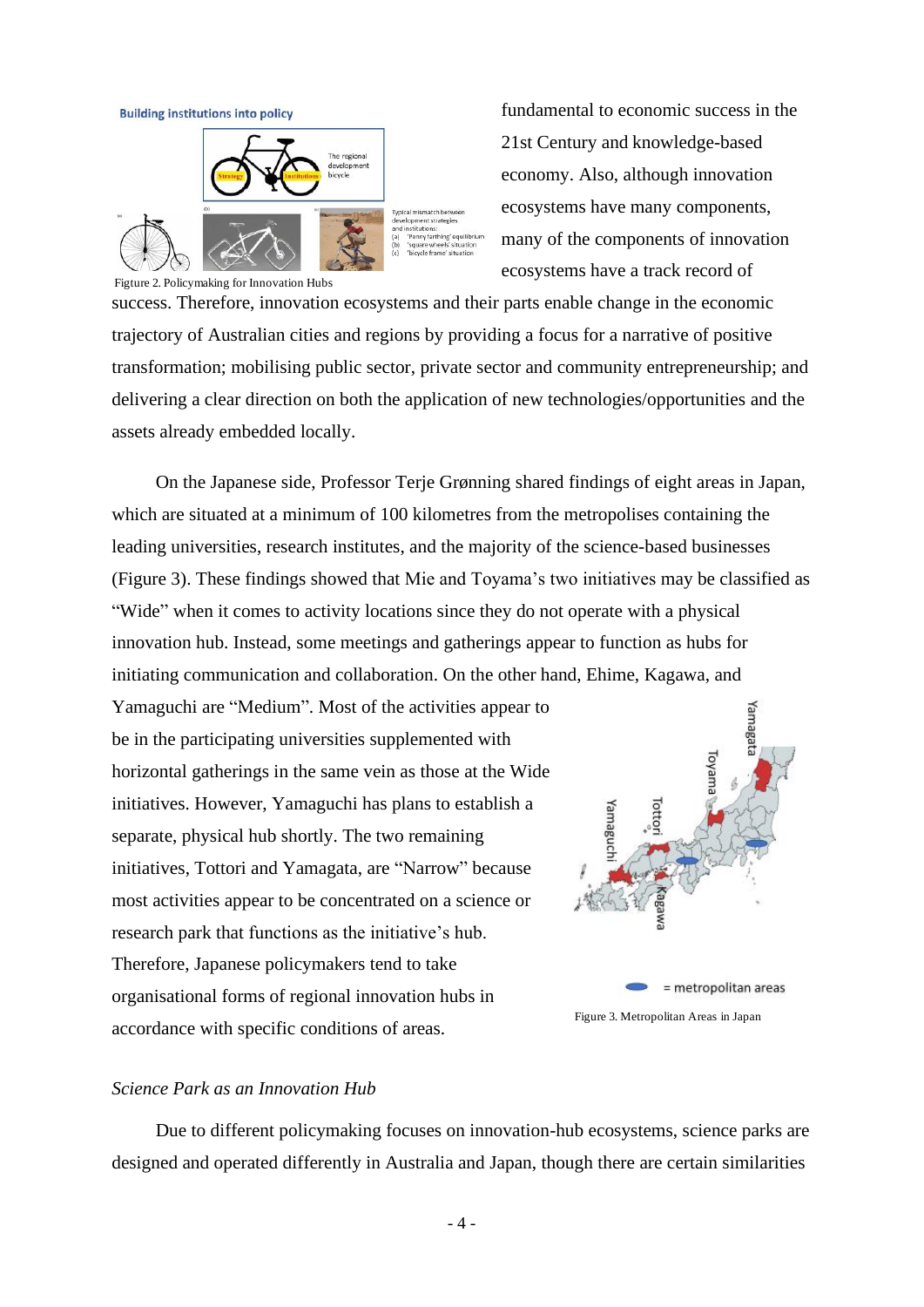



fundamental to economic success in the 21st Century and knowledge-based economy. Also, although innovation ecosystems have many components, many of the components of innovation ecosystems have a track record of

Figture 2. Policymaking for Innovation Hubs

success. Therefore, innovation ecosystems and their parts enable change in the economic trajectory of Australian cities and regions by providing a focus for a narrative of positive transformation; mobilising public sector, private sector and community entrepreneurship; and delivering a clear direction on both the application of new technologies/opportunities and the assets already embedded locally.

On the Japanese side, Professor Terje Grønning shared findings of eight areas in Japan, which are situated at a minimum of 100 kilometres from the metropolises containing the leading universities, research institutes, and the majority of the science-based businesses (Figure 3). These findings showed that Mie and Toyama's two initiatives may be classified as "Wide" when it comes to activity locations since they do not operate with a physical innovation hub. Instead, some meetings and gatherings appear to function as hubs for initiating communication and collaboration. On the other hand, Ehime, Kagawa, and

Yamaguchi are "Medium". Most of the activities appear to be in the participating universities supplemented with horizontal gatherings in the same vein as those at the Wide initiatives. However, Yamaguchi has plans to establish a separate, physical hub shortly. The two remaining initiatives, Tottori and Yamagata, are "Narrow" because most activities appear to be concentrated on a science or research park that functions as the initiative's hub. Therefore, Japanese policymakers tend to take organisational forms of regional innovation hubs in accordance with specific conditions of areas.



#### <span id="page-4-0"></span>*Science Park as an Innovation Hub*

Due to different policymaking focuses on innovation-hub ecosystems, science parks are designed and operated differently in Australia and Japan, though there are certain similarities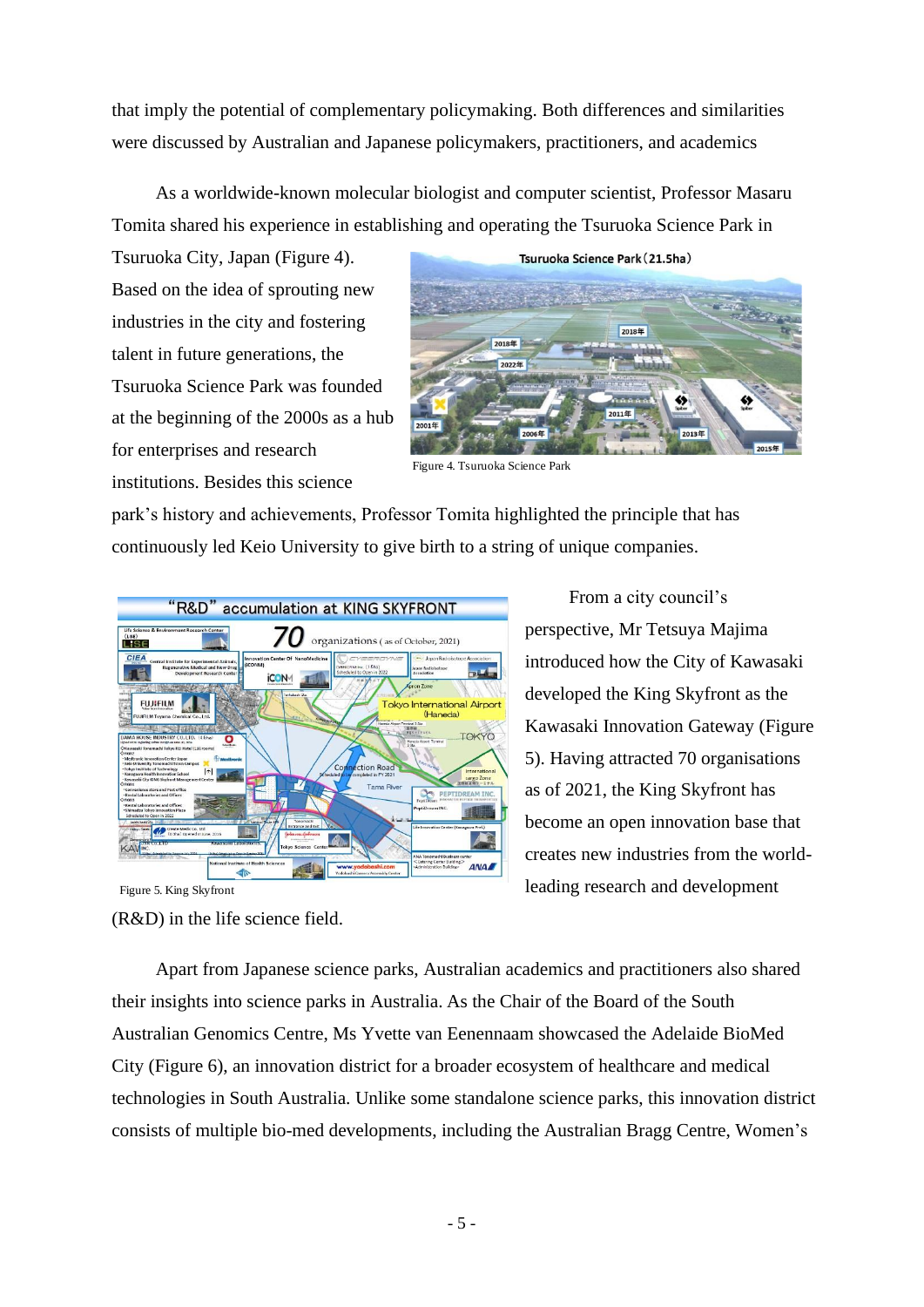that imply the potential of complementary policymaking. Both differences and similarities were discussed by Australian and Japanese policymakers, practitioners, and academics

As a worldwide-known molecular biologist and computer scientist, Professor Masaru Tomita shared his experience in establishing and operating the Tsuruoka Science Park in

Tsuruoka City, Japan (Figure 4). Based on the idea of sprouting new industries in the city and fostering talent in future generations, the Tsuruoka Science Park was founded at the beginning of the 2000s as a hub for enterprises and research institutions. Besides this science



Figure 4. Tsuruoka Science Park

park's history and achievements, Professor Tomita highlighted the principle that has continuously led Keio University to give birth to a string of unique companies.



(R&D) in the life science field. Figure 5. King Skyfront

From a city council's perspective, Mr Tetsuya Majima introduced how the City of Kawasaki developed the King Skyfront as the Kawasaki Innovation Gateway (Figure 5). Having attracted 70 organisations as of 2021, the King Skyfront has become an open innovation base that creates new industries from the worldleading research and development

Apart from Japanese science parks, Australian academics and practitioners also shared their insights into science parks in Australia. As the Chair of the Board of the South Australian Genomics Centre, Ms Yvette van Eenennaam showcased the Adelaide BioMed City (Figure 6), an innovation district for a broader ecosystem of healthcare and medical technologies in South Australia. Unlike some standalone science parks, this innovation district consists of multiple bio-med developments, including the Australian Bragg Centre, Women's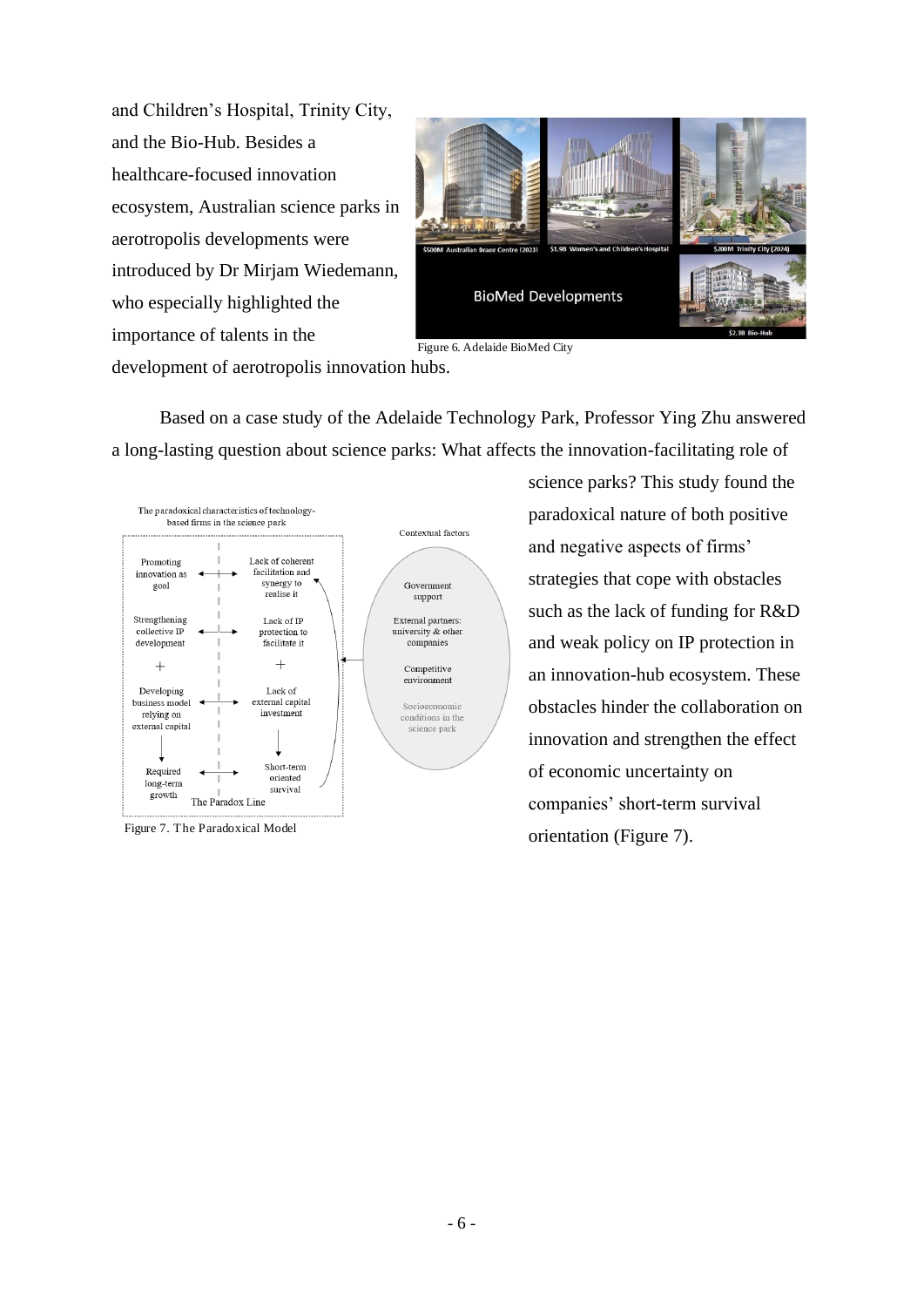and Children's Hospital, Trinity City, and the Bio-Hub. Besides a healthcare-focused innovation ecosystem, Australian science parks in aerotropolis developments were introduced by Dr Mirjam Wiedemann, who especially highlighted the importance of talents in the



Figure 6. Adelaide BioMed City

development of aerotropolis innovation hubs.

Based on a case study of the Adelaide Technology Park, Professor Ying Zhu answered a long-lasting question about science parks: What affects the innovation-facilitating role of



Figure 7. The Paradoxical Model

science parks? This study found the paradoxical nature of both positive and negative aspects of firms' strategies that cope with obstacles such as the lack of funding for R&D and weak policy on IP protection in an innovation-hub ecosystem. These obstacles hinder the collaboration on innovation and strengthen the effect of economic uncertainty on companies' short-term survival orientation (Figure 7).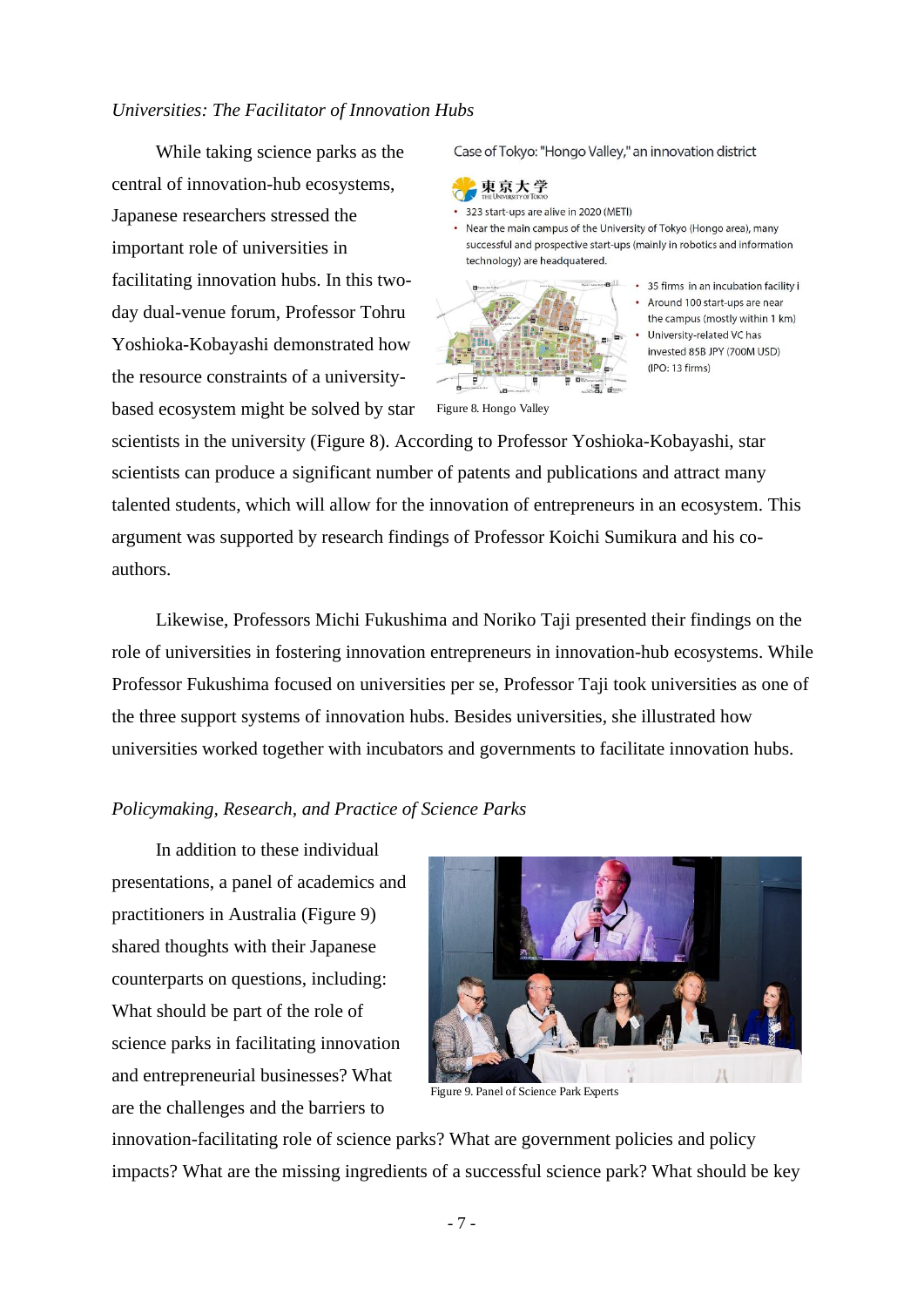#### <span id="page-7-0"></span>*Universities: The Facilitator of Innovation Hubs*

While taking science parks as the central of innovation-hub ecosystems, Japanese researchers stressed the important role of universities in facilitating innovation hubs. In this twoday dual-venue forum, Professor Tohru Yoshioka-Kobayashi demonstrated how the resource constraints of a universitybased ecosystem might be solved by star Case of Tokyo: "Hongo Valley," an innovation district



• 323 start-ups are alive in 2020 (METI)

• Near the main campus of the University of Tokyo (Hongo area), many successful and prospective start-ups (mainly in robotics and information technology) are headquatered.



• 35 firms in an incubation facility in • Around 100 start-ups are near the campus (mostly within 1 km) University-related VC has invested 85B JPY (700M USD) (IPO: 13 firms)

Figure 8. Hongo Valley

scientists in the university (Figure 8). According to Professor Yoshioka-Kobayashi, star scientists can produce a significant number of patents and publications and attract many talented students, which will allow for the innovation of entrepreneurs in an ecosystem. This argument was supported by research findings of Professor Koichi Sumikura and his coauthors.

Likewise, Professors Michi Fukushima and Noriko Taji presented their findings on the role of universities in fostering innovation entrepreneurs in innovation-hub ecosystems. While Professor Fukushima focused on universities per se, Professor Taji took universities as one of the three support systems of innovation hubs. Besides universities, she illustrated how universities worked together with incubators and governments to facilitate innovation hubs.

#### <span id="page-7-1"></span>*Policymaking, Research, and Practice of Science Parks*

In addition to these individual presentations, a panel of academics and practitioners in Australia (Figure 9) shared thoughts with their Japanese counterparts on questions, including: What should be part of the role of science parks in facilitating innovation and entrepreneurial businesses? What are the challenges and the barriers to



Figure 9. Panel of Science Park Experts

innovation-facilitating role of science parks? What are government policies and policy impacts? What are the missing ingredients of a successful science park? What should be key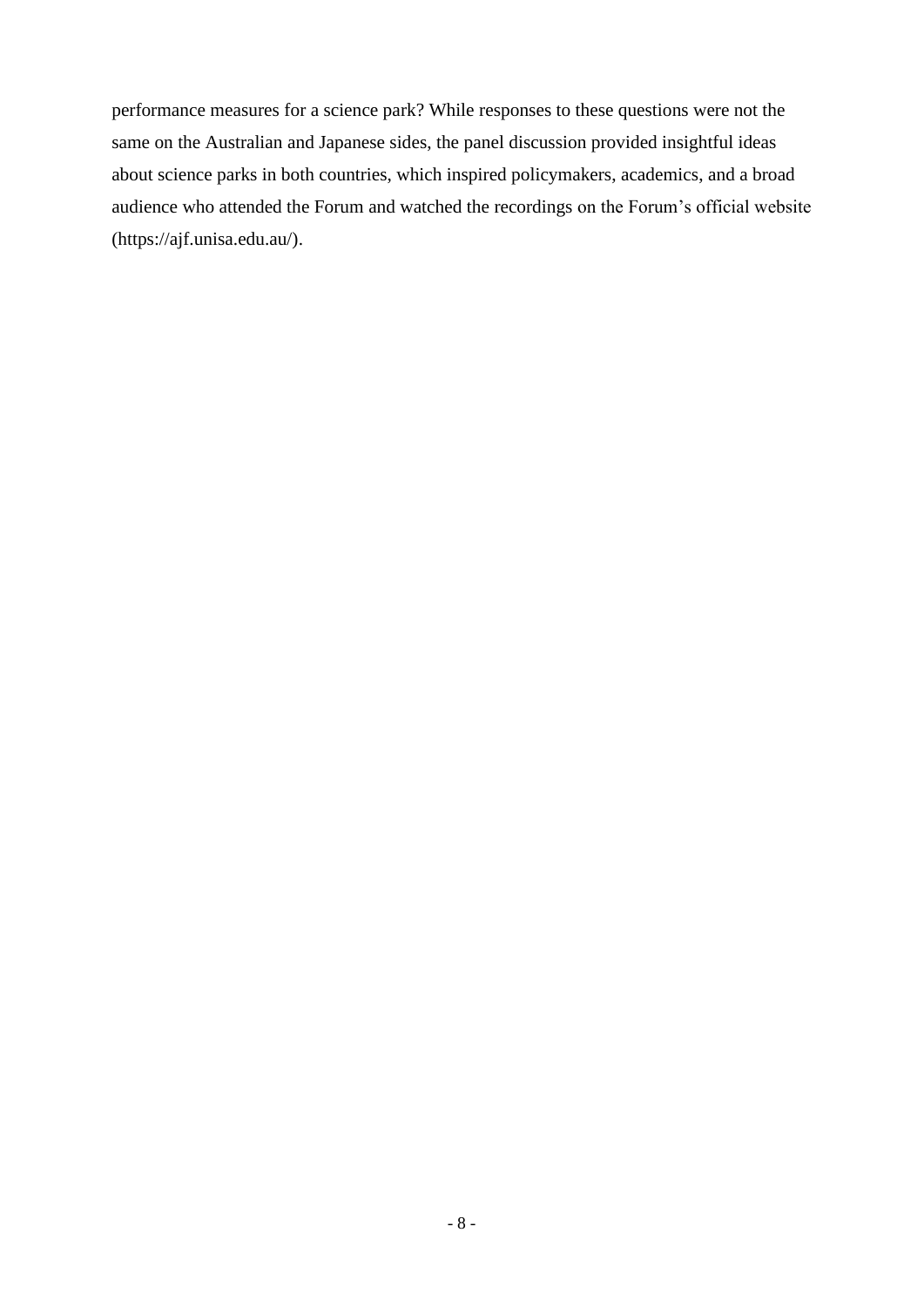performance measures for a science park? While responses to these questions were not the same on the Australian and Japanese sides, the panel discussion provided insightful ideas about science parks in both countries, which inspired policymakers, academics, and a broad audience who attended the Forum and watched the recordings on the Forum's official website (https://ajf.unisa.edu.au/).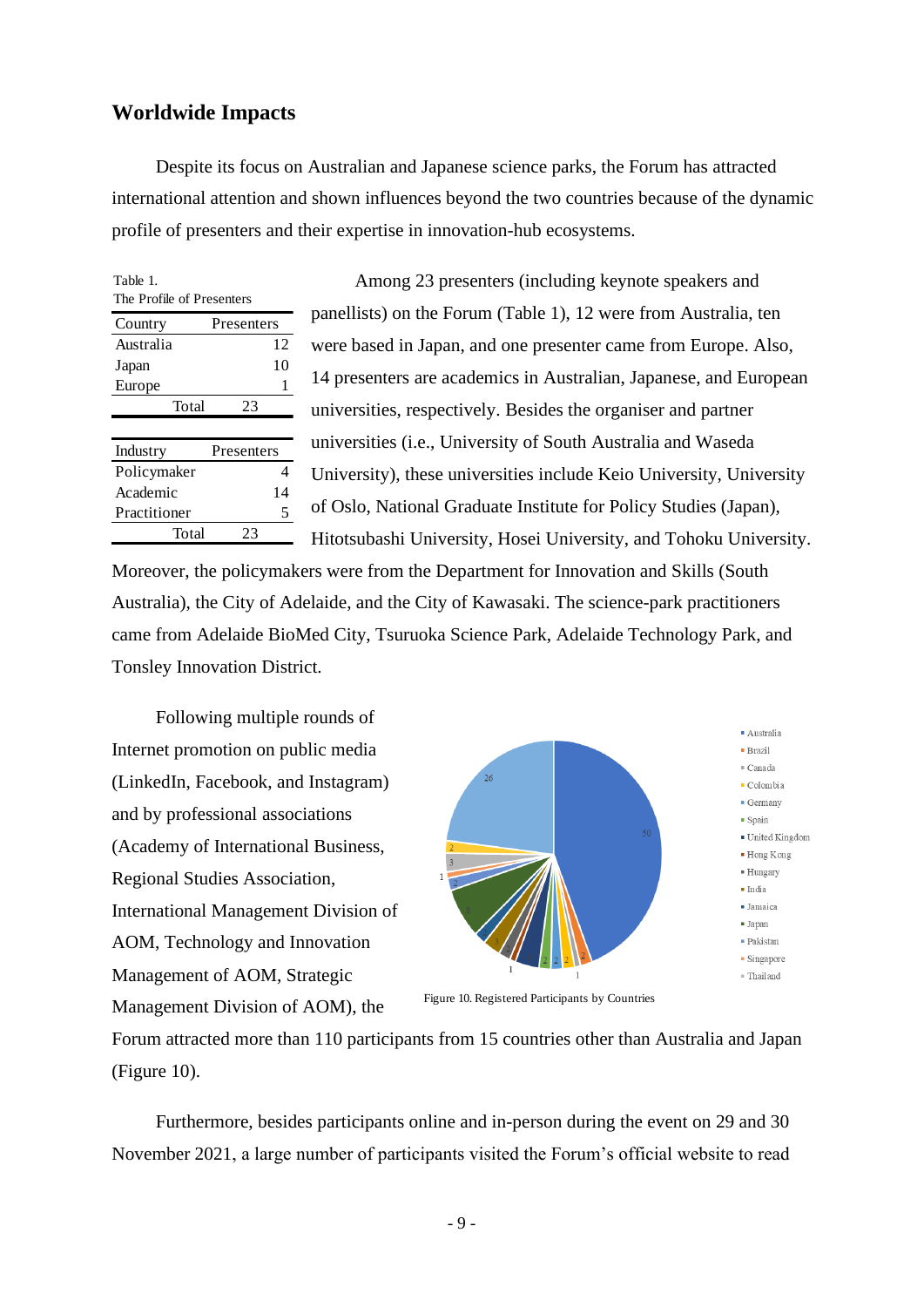### <span id="page-9-0"></span>**Worldwide Impacts**

Despite its focus on Australian and Japanese science parks, the Forum has attracted international attention and shown influences beyond the two countries because of the dynamic profile of presenters and their expertise in innovation-hub ecosystems.

| Table 1.<br>The Profile of Presenters |  |  |  |  |  |  |  |  |
|---------------------------------------|--|--|--|--|--|--|--|--|
|                                       |  |  |  |  |  |  |  |  |
| Presenters                            |  |  |  |  |  |  |  |  |
| 12                                    |  |  |  |  |  |  |  |  |
| 10                                    |  |  |  |  |  |  |  |  |
| 1                                     |  |  |  |  |  |  |  |  |
| 23                                    |  |  |  |  |  |  |  |  |
|                                       |  |  |  |  |  |  |  |  |
| Presenters                            |  |  |  |  |  |  |  |  |
| Δ                                     |  |  |  |  |  |  |  |  |
| 14                                    |  |  |  |  |  |  |  |  |
| 5                                     |  |  |  |  |  |  |  |  |
| 23                                    |  |  |  |  |  |  |  |  |
|                                       |  |  |  |  |  |  |  |  |

Among 23 presenters (including keynote speakers and panellists) on the Forum (Table 1), 12 were from Australia, ten were based in Japan, and one presenter came from Europe. Also, 14 presenters are academics in Australian, Japanese, and European universities, respectively. Besides the organiser and partner universities (i.e., University of South Australia and Waseda University), these universities include Keio University, University of Oslo, National Graduate Institute for Policy Studies (Japan), Hitotsubashi University, Hosei University, and Tohoku University.

Moreover, the policymakers were from the Department for Innovation and Skills (South Australia), the City of Adelaide, and the City of Kawasaki. The science-park practitioners came from Adelaide BioMed City, Tsuruoka Science Park, Adelaide Technology Park, and Tonsley Innovation District.

Following multiple rounds of Internet promotion on public media (LinkedIn, Facebook, and Instagram) and by professional associations (Academy of International Business, Regional Studies Association, International Management Division of AOM, Technology and Innovation Management of AOM, Strategic Management Division of AOM), the



Figure 10. Registered Participants by Countries

Forum attracted more than 110 participants from 15 countries other than Australia and Japan (Figure 10).

Furthermore, besides participants online and in-person during the event on 29 and 30 November 2021, a large number of participants visited the Forum's official website to read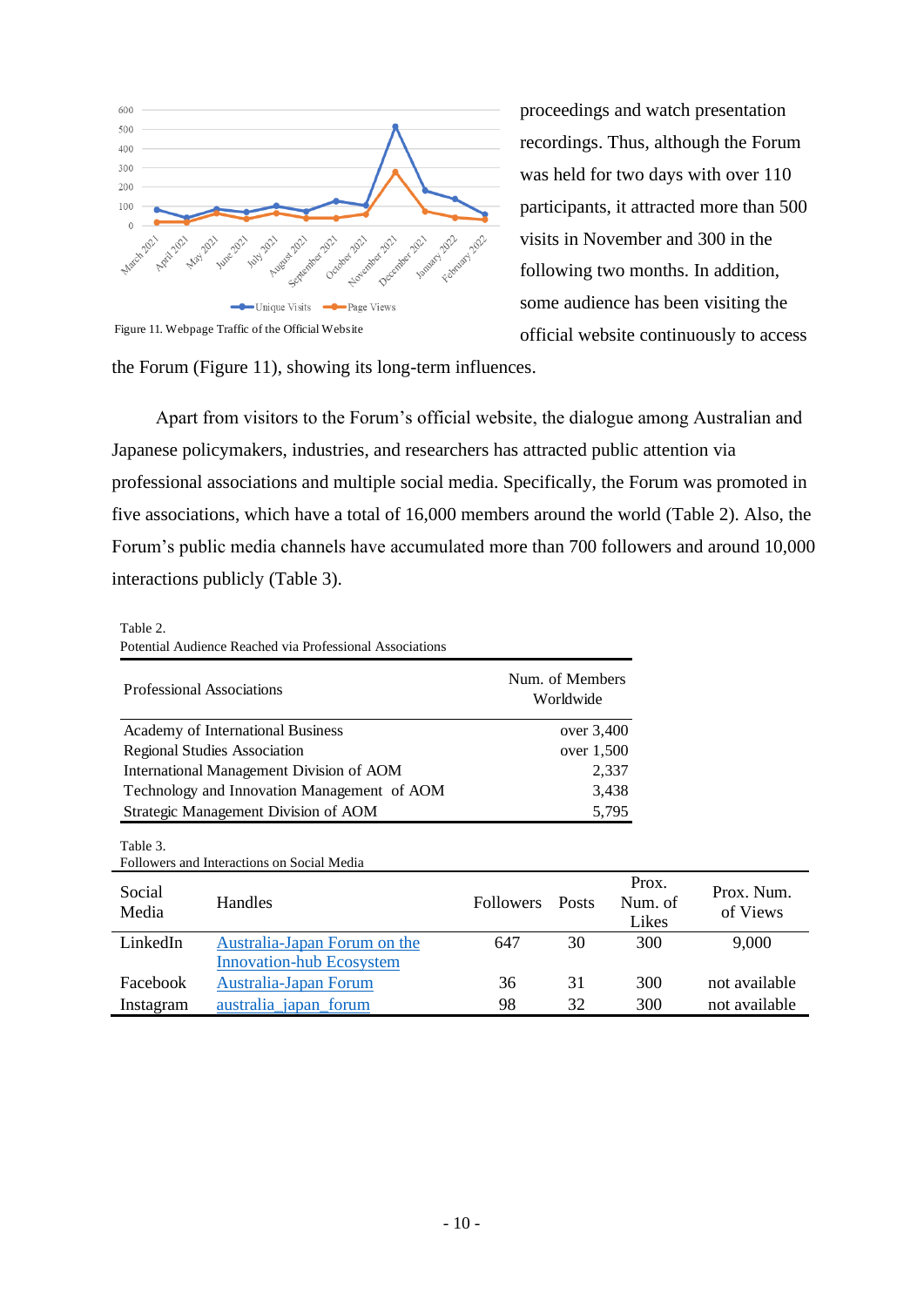

proceedings and watch presentation recordings. Thus, although the Forum was held for two days with over 110 participants, it attracted more than 500 visits in November and 300 in the following two months. In addition, some audience has been visiting the official website continuously to access

the Forum (Figure 11), showing its long-term influences.

Apart from visitors to the Forum's official website, the dialogue among Australian and Japanese policymakers, industries, and researchers has attracted public attention via professional associations and multiple social media. Specifically, the Forum was promoted in five associations, which have a total of 16,000 members around the world (Table 2). Also, the Forum's public media channels have accumulated more than 700 followers and around 10,000 interactions publicly (Table 3).

#### Table 2. Potential Audience Reached via Professional Associations **Potential Audience Reached via Professional Associations**

| <b>Professional Associations</b>            |                                            | Num. of Members<br>Worldwide |              |                           |                        |
|---------------------------------------------|--------------------------------------------|------------------------------|--------------|---------------------------|------------------------|
| Academy of International Business           |                                            |                              | over $3,400$ |                           |                        |
| <b>Regional Studies Association</b>         |                                            |                              | over 1,500   |                           |                        |
| International Management Division of AOM    |                                            |                              |              | 2,337                     |                        |
| Technology and Innovation Management of AOM |                                            |                              |              | 3,438                     |                        |
| Strategic Management Division of AOM        |                                            |                              |              | 5,795                     |                        |
| Table 3.                                    | Followers and Interactions on Social Media |                              |              |                           |                        |
| Social<br>Media                             | Handles                                    | <b>Followers</b>             | <b>Posts</b> | Prox.<br>Num. of<br>Likes | Prox. Num.<br>of Views |
| LinkedIn                                    | Australia-Japan Forum on the               | 647                          | 30           | 300                       | 9,000                  |
|                                             | <b>Innovation-hub Ecosystem</b>            |                              |              |                           |                        |
| Facebook                                    | Australia-Japan Forum                      | 36                           | 31           | 300                       | not available          |
| Instagram                                   | australia japan forum                      | 98                           | 32           | 300                       | not available          |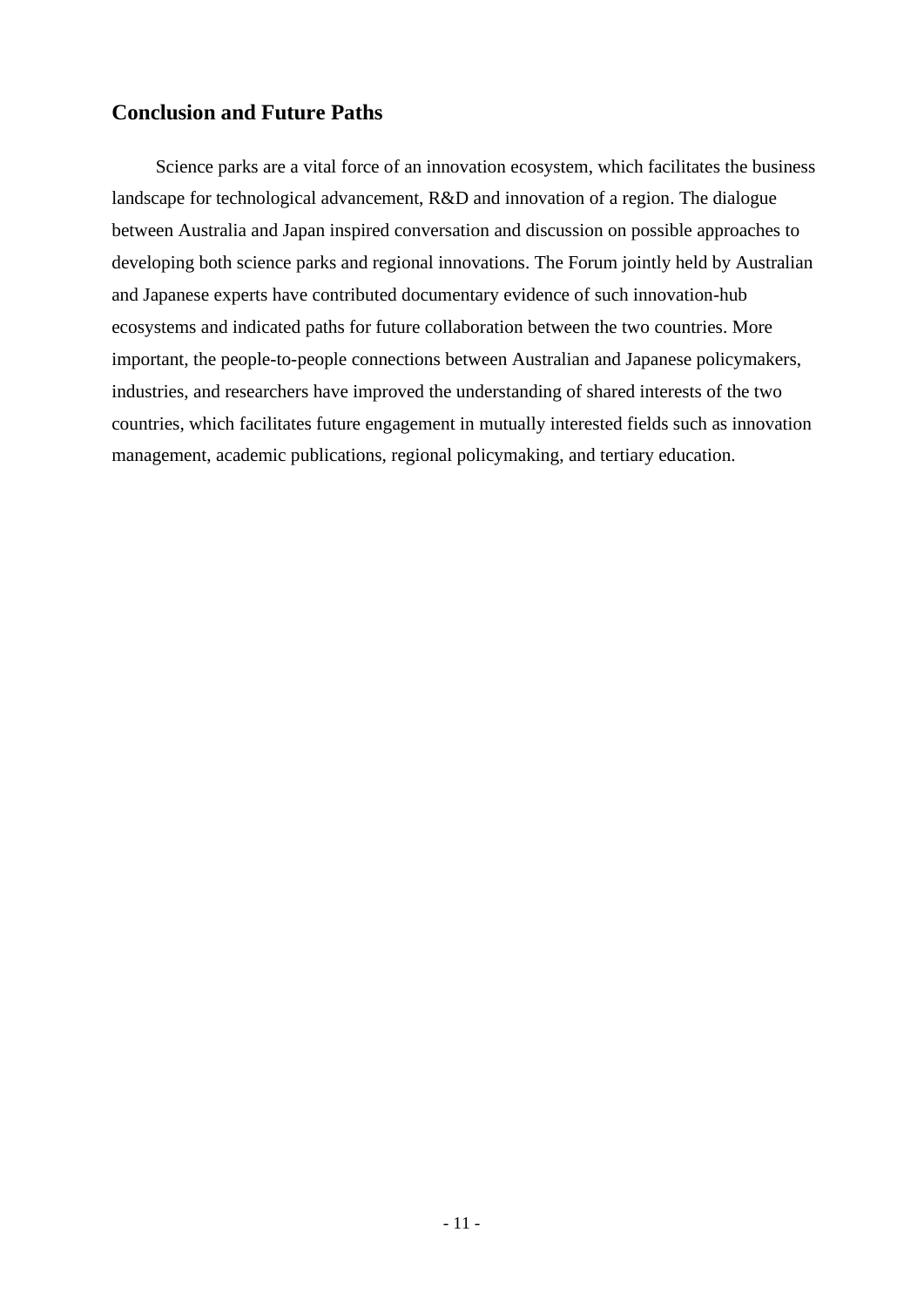# <span id="page-11-0"></span>**Conclusion and Future Paths**

Science parks are a vital force of an innovation ecosystem, which facilitates the business landscape for technological advancement, R&D and innovation of a region. The dialogue between Australia and Japan inspired conversation and discussion on possible approaches to developing both science parks and regional innovations. The Forum jointly held by Australian and Japanese experts have contributed documentary evidence of such innovation-hub ecosystems and indicated paths for future collaboration between the two countries. More important, the people-to-people connections between Australian and Japanese policymakers, industries, and researchers have improved the understanding of shared interests of the two countries, which facilitates future engagement in mutually interested fields such as innovation management, academic publications, regional policymaking, and tertiary education.